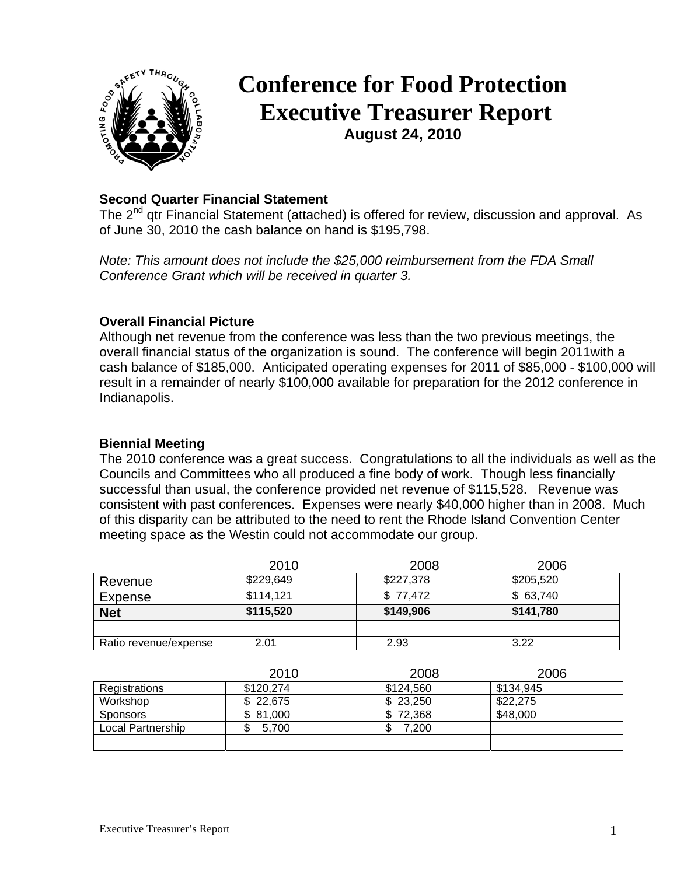

# **Conference for Food Protection Executive Treasurer Report August 24, 2010**

# **Second Quarter Financial Statement**

The 2<sup>nd</sup> qtr Financial Statement (attached) is offered for review, discussion and approval. As of June 30, 2010 the cash balance on hand is \$195,798.

*Note: This amount does not include the \$25,000 reimbursement from the FDA Small Conference Grant which will be received in quarter 3.*

## **Overall Financial Picture**

Although net revenue from the conference was less than the two previous meetings, the overall financial status of the organization is sound. The conference will begin 2011with a cash balance of \$185,000. Anticipated operating expenses for 2011 of \$85,000 - \$100,000 will result in a remainder of nearly \$100,000 available for preparation for the 2012 conference in Indianapolis.

### **Biennial Meeting**

The 2010 conference was a great success. Congratulations to all the individuals as well as the Councils and Committees who all produced a fine body of work. Though less financially successful than usual, the conference provided net revenue of \$115,528. Revenue was consistent with past conferences. Expenses were nearly \$40,000 higher than in 2008. Much of this disparity can be attributed to the need to rent the Rhode Island Convention Center meeting space as the Westin could not accommodate our group.

|                       | 2010      | 2008      | 2006      |
|-----------------------|-----------|-----------|-----------|
| Revenue               | \$229,649 | \$227,378 | \$205,520 |
| Expense               | \$114,121 | \$77,472  | \$63,740  |
| <b>Net</b>            | \$115,520 | \$149,906 | \$141,780 |
|                       |           |           |           |
| Ratio revenue/expense | 2.01      | 2.93      | 3.22      |

|                   | 2010      | 2008      | 2006      |
|-------------------|-----------|-----------|-----------|
| Registrations     | \$120.274 | \$124,560 | \$134.945 |
| Workshop          | \$22,675  | \$23.250  | \$22,275  |
| <b>Sponsors</b>   | \$81,000  | \$72,368  | \$48,000  |
| Local Partnership | 5.700     | 7.200     |           |
|                   |           |           |           |